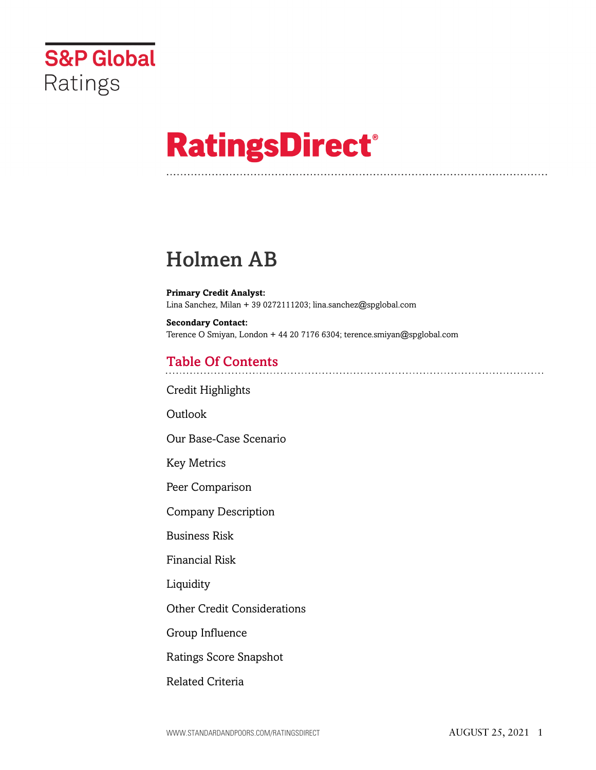

# **RatingsDirect®**

## Holmen AB

**Primary Credit Analyst:** Lina Sanchez, Milan + 39 0272111203; lina.sanchez@spglobal.com

**Secondary Contact:** Terence O Smiyan, London + 44 20 7176 6304; terence.smiyan@spglobal.com

## Table Of Contents

[Credit Highlights](#page-1-0)

Outlook

[Our Base-Case Scenario](#page-2-0)

[Key Metrics](#page-3-0)

[Peer Comparison](#page-4-0)

[Company Description](#page-4-1)

[Business Risk](#page-6-0)

[Financial Risk](#page-7-0)

[Liquidity](#page-9-0)

[Other Credit Considerations](#page-9-1)

[Group Influence](#page-9-2)

[Ratings Score Snapshot](#page-9-3)

[Related Criteria](#page-10-0)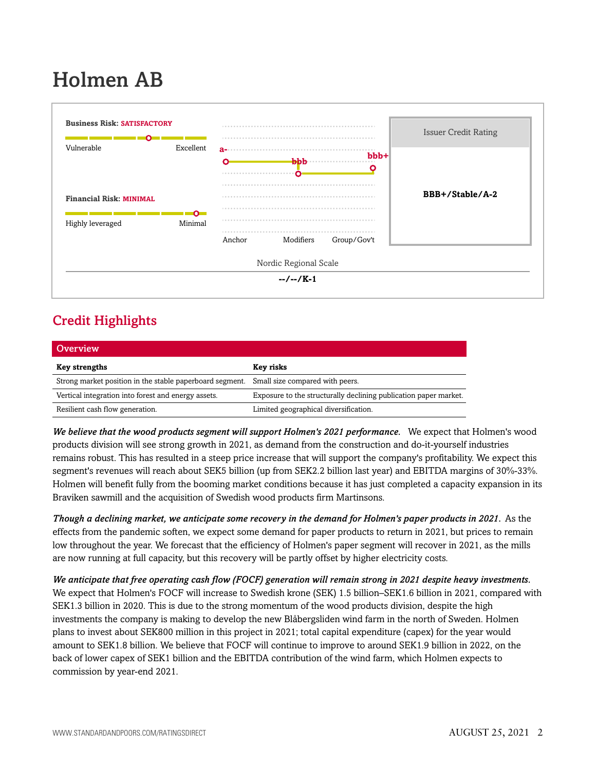## Holmen AB



## <span id="page-1-0"></span>Credit Highlights

| <b>Overview</b>                                                                          |                                                                  |
|------------------------------------------------------------------------------------------|------------------------------------------------------------------|
| <b>Key strengths</b>                                                                     | Key risks                                                        |
| Strong market position in the stable paperboard segment. Small size compared with peers. |                                                                  |
| Vertical integration into forest and energy assets.                                      | Exposure to the structurally declining publication paper market. |
| Resilient cash flow generation.                                                          | Limited geographical diversification.                            |

*We believe that the wood products segment will support Holmen's 2021 performance.* We expect that Holmen's wood products division will see strong growth in 2021, as demand from the construction and do-it-yourself industries remains robust. This has resulted in a steep price increase that will support the company's profitability. We expect this segment's revenues will reach about SEK5 billion (up from SEK2.2 billion last year) and EBITDA margins of 30%-33%. Holmen will benefit fully from the booming market conditions because it has just completed a capacity expansion in its Braviken sawmill and the acquisition of Swedish wood products firm Martinsons.

*Though a declining market, we anticipate some recovery in the demand for Holmen's paper products in 2021.* As the effects from the pandemic soften, we expect some demand for paper products to return in 2021, but prices to remain low throughout the year. We forecast that the efficiency of Holmen's paper segment will recover in 2021, as the mills are now running at full capacity, but this recovery will be partly offset by higher electricity costs.

*We anticipate that free operating cash flow (FOCF) generation will remain strong in 2021 despite heavy investments.* We expect that Holmen's FOCF will increase to Swedish krone (SEK) 1.5 billion–SEK1.6 billion in 2021, compared with SEK1.3 billion in 2020. This is due to the strong momentum of the wood products division, despite the high investments the company is making to develop the new Blåbergsliden wind farm in the north of Sweden. Holmen plans to invest about SEK800 million in this project in 2021; total capital expenditure (capex) for the year would amount to SEK1.8 billion. We believe that FOCF will continue to improve to around SEK1.9 billion in 2022, on the back of lower capex of SEK1 billion and the EBITDA contribution of the wind farm, which Holmen expects to commission by year-end 2021.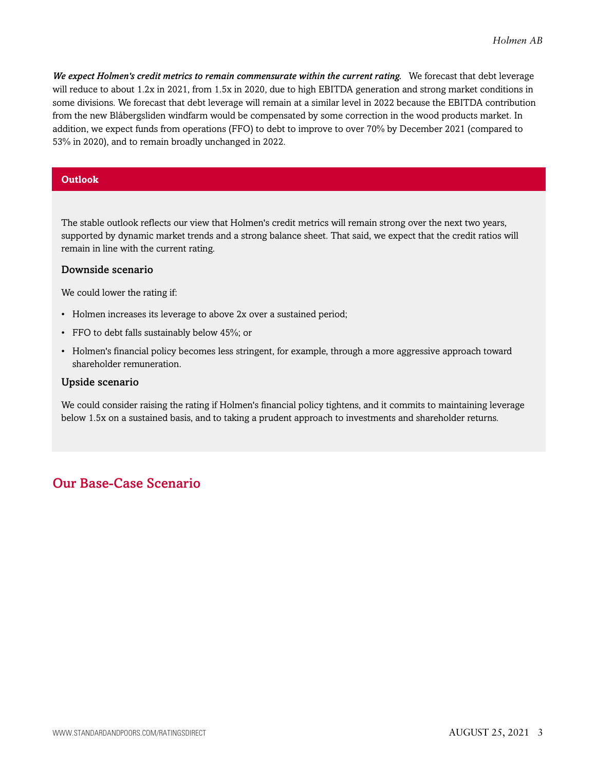*We expect Holmen's credit metrics to remain commensurate within the current rating.* We forecast that debt leverage will reduce to about 1.2x in 2021, from 1.5x in 2020, due to high EBITDA generation and strong market conditions in some divisions. We forecast that debt leverage will remain at a similar level in 2022 because the EBITDA contribution from the new Blåbergsliden windfarm would be compensated by some correction in the wood products market. In addition, we expect funds from operations (FFO) to debt to improve to over 70% by December 2021 (compared to 53% in 2020), and to remain broadly unchanged in 2022.

#### **Outlook**

The stable outlook reflects our view that Holmen's credit metrics will remain strong over the next two years, supported by dynamic market trends and a strong balance sheet. That said, we expect that the credit ratios will remain in line with the current rating.

#### Downside scenario

We could lower the rating if:

- Holmen increases its leverage to above 2x over a sustained period;
- FFO to debt falls sustainably below 45%; or
- Holmen's financial policy becomes less stringent, for example, through a more aggressive approach toward shareholder remuneration.

#### Upside scenario

We could consider raising the rating if Holmen's financial policy tightens, and it commits to maintaining leverage below 1.5x on a sustained basis, and to taking a prudent approach to investments and shareholder returns.

### <span id="page-2-0"></span>Our Base-Case Scenario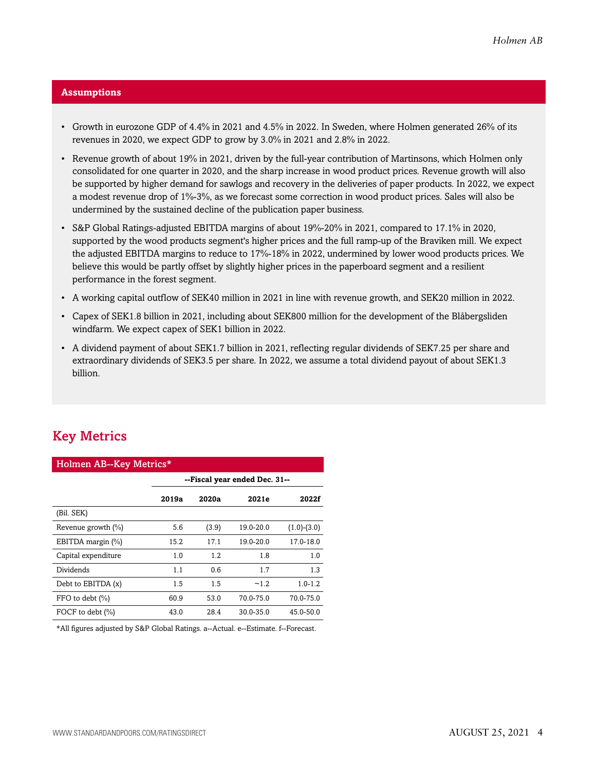#### **Assumptions**

- Growth in eurozone GDP of 4.4% in 2021 and 4.5% in 2022. In Sweden, where Holmen generated 26% of its revenues in 2020, we expect GDP to grow by 3.0% in 2021 and 2.8% in 2022.
- Revenue growth of about 19% in 2021, driven by the full-year contribution of Martinsons, which Holmen only consolidated for one quarter in 2020, and the sharp increase in wood product prices. Revenue growth will also be supported by higher demand for sawlogs and recovery in the deliveries of paper products. In 2022, we expect a modest revenue drop of 1%-3%, as we forecast some correction in wood product prices. Sales will also be undermined by the sustained decline of the publication paper business.
- S&P Global Ratings-adjusted EBITDA margins of about 19%-20% in 2021, compared to 17.1% in 2020, supported by the wood products segment's higher prices and the full ramp-up of the Braviken mill. We expect the adjusted EBITDA margins to reduce to 17%-18% in 2022, undermined by lower wood products prices. We believe this would be partly offset by slightly higher prices in the paperboard segment and a resilient performance in the forest segment.
- A working capital outflow of SEK40 million in 2021 in line with revenue growth, and SEK20 million in 2022.
- Capex of SEK1.8 billion in 2021, including about SEK800 million for the development of the Blåbergsliden windfarm. We expect capex of SEK1 billion in 2022.
- A dividend payment of about SEK1.7 billion in 2021, reflecting regular dividends of SEK7.25 per share and extraordinary dividends of SEK3.5 per share. In 2022, we assume a total dividend payout of about SEK1.3 billion.

## <span id="page-3-0"></span>Key Metrics

| Holmen AB--Key Metrics* |                               |       |               |               |  |  |
|-------------------------|-------------------------------|-------|---------------|---------------|--|--|
|                         | --Fiscal year ended Dec. 31-- |       |               |               |  |  |
|                         | 2019a                         | 2020a | 2021e         | 2022f         |  |  |
| (Bil. SEK)              |                               |       |               |               |  |  |
| Revenue growth $(\% )$  | 5.6                           | (3.9) | 19.0-20.0     | $(1.0)-(3.0)$ |  |  |
| EBITDA margin (%)       | 15.2                          | 17.1  | 19.0-20.0     | $17.0 - 18.0$ |  |  |
| Capital expenditure     | 1.0                           | 1.2   | 1.8           | 1.0           |  |  |
| Dividends               | 1.1                           | 0.6   | 1.7           | 1.3           |  |  |
| Debt to EBITDA (x)      | 1.5                           | 1.5   | $-1.2$        | $1.0 - 1.2$   |  |  |
| FFO to debt $(\% )$     | 60.9                          | 53.0  | 70.0-75.0     | 70.0-75.0     |  |  |
| FOCF to debt (%)        | 43.0                          | 28.4  | $30.0 - 35.0$ | 45.0-50.0     |  |  |

\*All figures adjusted by S&P Global Ratings. a--Actual. e--Estimate. f--Forecast.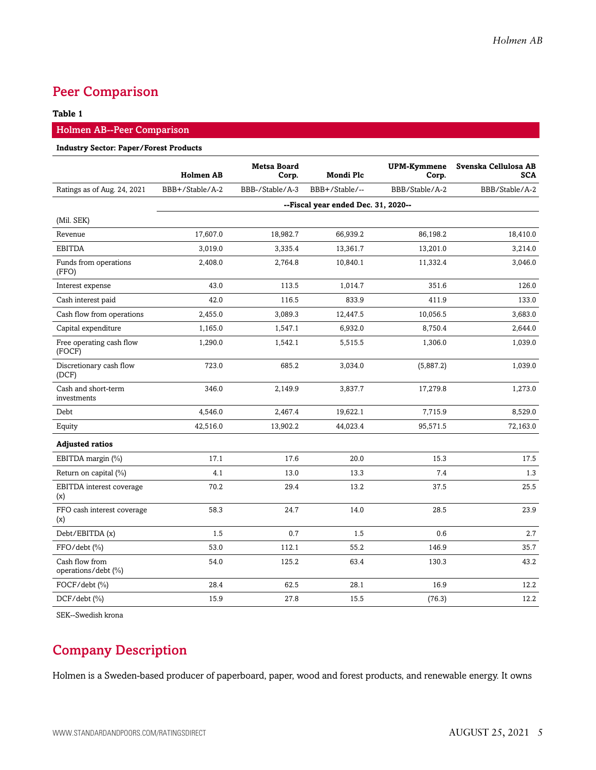## <span id="page-4-0"></span>Peer Comparison

#### **Table 1**

#### Holmen AB--Peer Comparison

#### **Industry Sector: Paper/Forest Products**

|                                        | <b>Holmen AB</b> | <b>Metsa Board</b><br>Corp. | Mondi Plc                           | UPM-Kymmene<br>Corp. | Svenska Cellulosa AB<br><b>SCA</b> |
|----------------------------------------|------------------|-----------------------------|-------------------------------------|----------------------|------------------------------------|
| Ratings as of Aug. 24, 2021            | BBB+/Stable/A-2  | BBB-/Stable/A-3             | BBB+/Stable/--                      | BBB/Stable/A-2       | BBB/Stable/A-2                     |
|                                        |                  |                             | --Fiscal year ended Dec. 31, 2020-- |                      |                                    |
| (Mil. SEK)                             |                  |                             |                                     |                      |                                    |
| Revenue                                | 17,607.0         | 18,982.7                    | 66,939.2                            | 86,198.2             | 18,410.0                           |
| <b>EBITDA</b>                          | 3,019.0          | 3,335.4                     | 13,361.7                            | 13,201.0             | 3,214.0                            |
| Funds from operations<br>(FFO)         | 2,408.0          | 2,764.8                     | 10,840.1                            | 11,332.4             | 3,046.0                            |
| Interest expense                       | 43.0             | 113.5                       | 1,014.7                             | 351.6                | 126.0                              |
| Cash interest paid                     | 42.0             | 116.5                       | 833.9                               | 411.9                | 133.0                              |
| Cash flow from operations              | 2,455.0          | 3,089.3                     | 12,447.5                            | 10,056.5             | 3,683.0                            |
| Capital expenditure                    | 1,165.0          | 1,547.1                     | 6,932.0                             | 8,750.4              | 2,644.0                            |
| Free operating cash flow<br>(FOCF)     | 1,290.0          | 1,542.1                     | 5,515.5                             | 1,306.0              | 1,039.0                            |
| Discretionary cash flow<br>(DCF)       | 723.0            | 685.2                       | 3,034.0                             | (5,887.2)            | 1,039.0                            |
| Cash and short-term<br>investments     | 346.0            | 2,149.9                     | 3,837.7                             | 17,279.8             | 1,273.0                            |
| Debt                                   | 4,546.0          | 2,467.4                     | 19,622.1                            | 7,715.9              | 8,529.0                            |
| Equity                                 | 42,516.0         | 13,902.2                    | 44,023.4                            | 95,571.5             | 72,163.0                           |
| <b>Adjusted ratios</b>                 |                  |                             |                                     |                      |                                    |
| EBITDA margin (%)                      | 17.1             | 17.6                        | 20.0                                | 15.3                 | 17.5                               |
| Return on capital (%)                  | 4.1              | 13.0                        | 13.3                                | 7.4                  | 1.3                                |
| <b>EBITDA</b> interest coverage<br>(x) | 70.2             | 29.4                        | 13.2                                | 37.5                 | 25.5                               |
| FFO cash interest coverage<br>(x)      | 58.3             | 24.7                        | 14.0                                | 28.5                 | 23.9                               |
| Debt/EBITDA(x)                         | 1.5              | 0.7                         | 1.5                                 | 0.6                  | 2.7                                |
| FFO/debt (%)                           | 53.0             | 112.1                       | 55.2                                | 146.9                | 35.7                               |
| Cash flow from<br>operations/debt (%)  | 54.0             | 125.2                       | 63.4                                | 130.3                | 43.2                               |
| FOCF/debt (%)                          | 28.4             | 62.5                        | 28.1                                | 16.9                 | 12.2                               |
| $DCF/debt$ (%)                         | 15.9             | 27.8                        | 15.5                                | (76.3)               | 12.2                               |

<span id="page-4-1"></span>SEK--Swedish krona

## Company Description

Holmen is a Sweden-based producer of paperboard, paper, wood and forest products, and renewable energy. It owns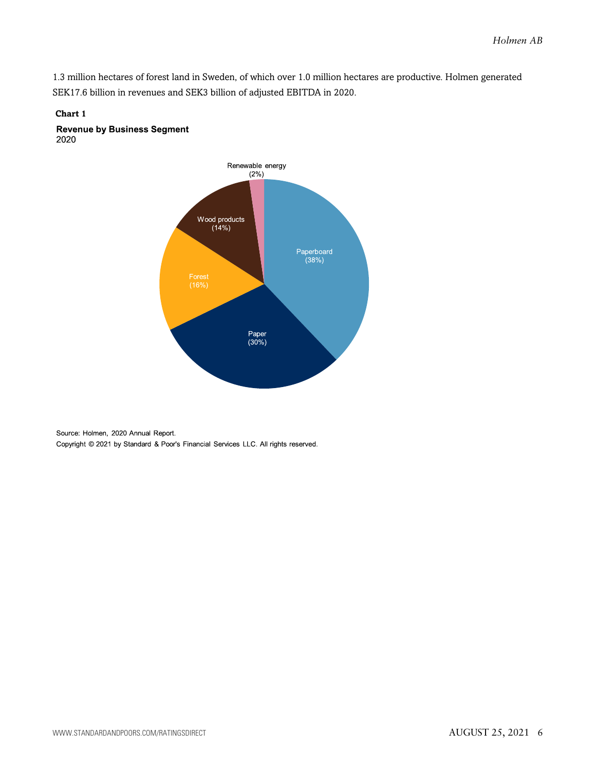1.3 million hectares of forest land in Sweden, of which over 1.0 million hectares are productive. Holmen generated SEK17.6 billion in revenues and SEK3 billion of adjusted EBITDA in 2020.

#### **Chart 1**

**Revenue by Business Segment** 2020



Source: Holmen, 2020 Annual Report. Copyright © 2021 by Standard & Poor's Financial Services LLC. All rights reserved.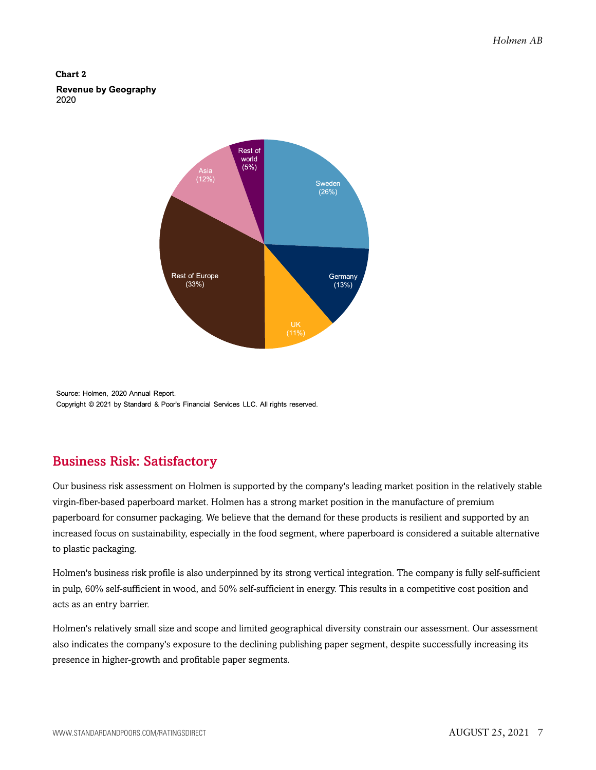#### **Chart 2**

**Revenue by Geography** 2020



Source: Holmen, 2020 Annual Report. Copyright © 2021 by Standard & Poor's Financial Services LLC. All rights reserved.

## <span id="page-6-0"></span>Business Risk: Satisfactory

Our business risk assessment on Holmen is supported by the company's leading market position in the relatively stable virgin-fiber-based paperboard market. Holmen has a strong market position in the manufacture of premium paperboard for consumer packaging. We believe that the demand for these products is resilient and supported by an increased focus on sustainability, especially in the food segment, where paperboard is considered a suitable alternative to plastic packaging.

Holmen's business risk profile is also underpinned by its strong vertical integration. The company is fully self-sufficient in pulp, 60% self-sufficient in wood, and 50% self-sufficient in energy. This results in a competitive cost position and acts as an entry barrier.

Holmen's relatively small size and scope and limited geographical diversity constrain our assessment. Our assessment also indicates the company's exposure to the declining publishing paper segment, despite successfully increasing its presence in higher-growth and profitable paper segments.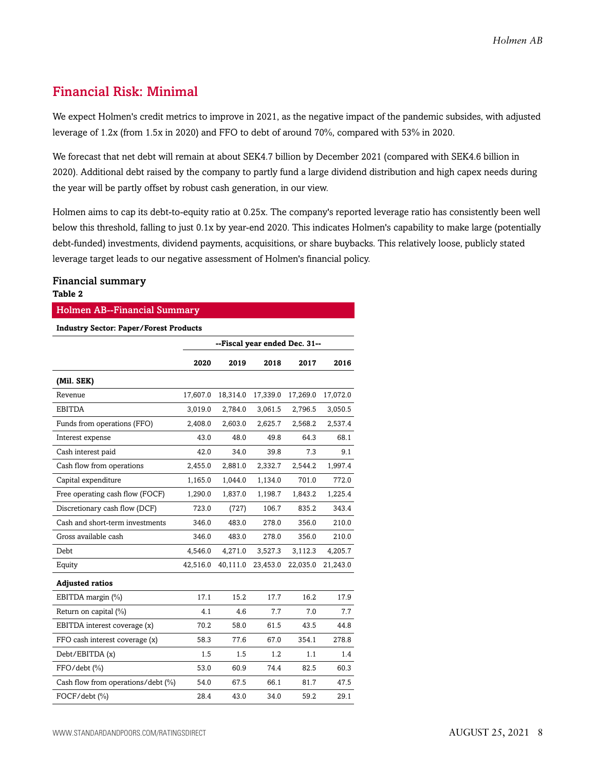### <span id="page-7-0"></span>Financial Risk: Minimal

We expect Holmen's credit metrics to improve in 2021, as the negative impact of the pandemic subsides, with adjusted leverage of 1.2x (from 1.5x in 2020) and FFO to debt of around 70%, compared with 53% in 2020.

We forecast that net debt will remain at about SEK4.7 billion by December 2021 (compared with SEK4.6 billion in 2020). Additional debt raised by the company to partly fund a large dividend distribution and high capex needs during the year will be partly offset by robust cash generation, in our view.

Holmen aims to cap its debt-to-equity ratio at 0.25x. The company's reported leverage ratio has consistently been well below this threshold, falling to just 0.1x by year-end 2020. This indicates Holmen's capability to make large (potentially debt-funded) investments, dividend payments, acquisitions, or share buybacks. This relatively loose, publicly stated leverage target leads to our negative assessment of Holmen's financial policy.

#### Financial summary **Table 2**

## Holmen AB--Financial Summary **Industry Sector: Paper/Forest Products --Fiscal year ended Dec. 31-- 2020 2019 2018 2017 2016 (Mil. SEK)** Revenue 17,607.0 18,314.0 17,339.0 17,269.0 17,072.0 EBITDA 3,019.0 2,784.0 3,061.5 2,796.5 3,050.5 Funds from operations (FFO) 2,408.0 2,603.0 2,625.7 2,568.2 2,537.4 Interest expense 43.0 48.0 49.8 64.3 68.1 Cash interest paid **42.0** 34.0 39.8 7.3 9.1 Cash flow from operations 2,455.0 2,881.0 2,332.7 2,544.2 1,997.4 Capital expenditure 1,165.0 1,044.0 1,134.0 701.0 772.0 Free operating cash flow (FOCF) 1,290.0 1,837.0 1,198.7 1,843.2 1,225.4 Discretionary cash flow (DCF) 723.0 (727) 106.7 835.2 343.4 Cash and short-term investments 346.0 483.0 278.0 356.0 210.0 Gross available cash 346.0 483.0 278.0 356.0 210.0 Debt 4,546.0 4,271.0 3,527.3 3,112.3 4,205.7 Equity 42,516.0 40,111.0 23,453.0 22,035.0 21,243.0 **Adjusted ratios** EBITDA margin (%) 17.1 15.2 17.7 16.2 17.9 Return on capital (%)  $4.1 \t 4.6 \t 7.7 \t 7.0 \t 7.7$ EBITDA interest coverage (x)  $70.2$  58.0 61.5 43.5 44.8 FFO cash interest coverage (x) 58.3 77.6 67.0 354.1 278.8 Debt/EBITDA (x) 1.5 1.5 1.2 1.1 1.4 FFO/debt (%) 53.0 60.9 74.4 82.5 60.3 Cash flow from operations/debt  $\frac{9}{6}$  54.0 67.5 66.1 81.7 47.5 FOCF/debt (%) 28.4 43.0 34.0 59.2 29.1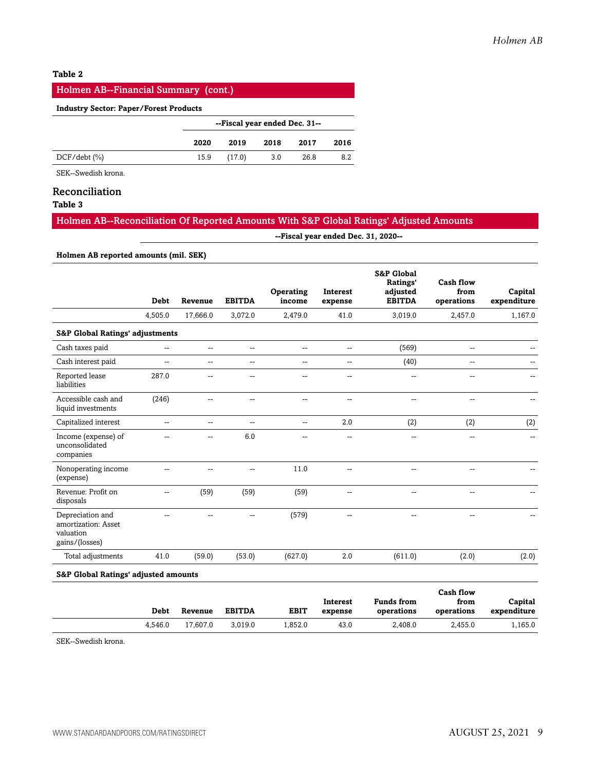#### **Table 2**

#### Holmen AB--Financial Summary (cont.)

#### **Industry Sector: Paper/Forest Products**

|                | --Fiscal year ended Dec. 31-- |        |      |      |      |
|----------------|-------------------------------|--------|------|------|------|
|                | 2020                          | 2019   | 2018 | 2017 | 2016 |
| $DCF/debt$ (%) | 15.9                          | (17.0) | 3.0  | 26.8 | 8.2  |

SEK--Swedish krona.

#### Reconciliation

**Table 3**

#### Holmen AB--Reconciliation Of Reported Amounts With S&P Global Ratings' Adjusted Amounts

**--Fiscal year ended Dec. 31, 2020--**

#### **Holmen AB reported amounts (mil. SEK)**

|                                                                        | <b>Debt</b> | Revenue                  | <b>EBITDA</b>  | Operating<br>income | <b>Interest</b><br>expense | <b>S&amp;P Global</b><br>Ratings'<br>adjusted<br><b>EBITDA</b> | <b>Cash flow</b><br>from<br>operations | Capital<br>expenditure |
|------------------------------------------------------------------------|-------------|--------------------------|----------------|---------------------|----------------------------|----------------------------------------------------------------|----------------------------------------|------------------------|
|                                                                        | 4,505.0     | 17.666.0                 | 3.072.0        | 2,479.0             | 41.0                       | 3,019.0                                                        | 2.457.0                                | 1.167.0                |
| <b>S&amp;P Global Ratings' adjustments</b>                             |             |                          |                |                     |                            |                                                                |                                        |                        |
| Cash taxes paid                                                        | --          | $\overline{\phantom{a}}$ | $\sim$ $\sim$  | $\sim$ $\sim$       | $\overline{\phantom{a}}$   | (569)                                                          | --                                     |                        |
| Cash interest paid                                                     | --          | −−                       | $\overline{a}$ | --                  | --                         | (40)                                                           | --                                     |                        |
| Reported lease<br>liabilities                                          | 287.0       | --                       | --             | --                  | $-$                        | --                                                             | --                                     | --                     |
| Accessible cash and<br>liquid investments                              | (246)       | --                       | --             | $\overline{a}$      | --                         | -−                                                             | --                                     |                        |
| Capitalized interest                                                   | --          | −−                       | $\overline{a}$ | $\sim$ $\sim$       | 2.0                        | (2)                                                            | (2)                                    | (2)                    |
| Income (expense) of<br>unconsolidated<br>companies                     | --          | --                       | 6.0            | $-$                 | --                         | --                                                             | --                                     |                        |
| Nonoperating income<br>(expense)                                       |             |                          | $-$            | 11.0                | $\overline{a}$             | --                                                             | --                                     | --                     |
| Revenue: Profit on<br>disposals                                        | --          | (59)                     | (59)           | (59)                | --                         | --                                                             | --                                     |                        |
| Depreciation and<br>amortization: Asset<br>valuation<br>gains/(losses) |             |                          | --             | (579)               | --                         | --                                                             | -−                                     |                        |
| Total adjustments                                                      | 41.0        | (59.0)                   | (53.0)         | (627.0)             | 2.0                        | (611.0)                                                        | (2.0)                                  | (2.0)                  |

#### **S&P Global Ratings' adjusted amounts**

| Debt    | Revenue  | <b>EBITDA</b> | <b>EBIT</b> | Interest<br>expense | <b>Funds from</b><br>operations | Cash flow<br>from<br>operations | Capital<br>expenditure |
|---------|----------|---------------|-------------|---------------------|---------------------------------|---------------------------------|------------------------|
| 4.546.0 | 17.607.0 | 3.019.0       | .852.0      | 43.0                | 2.408.0                         | 2,455.0                         | .165.0.                |

SEK--Swedish krona.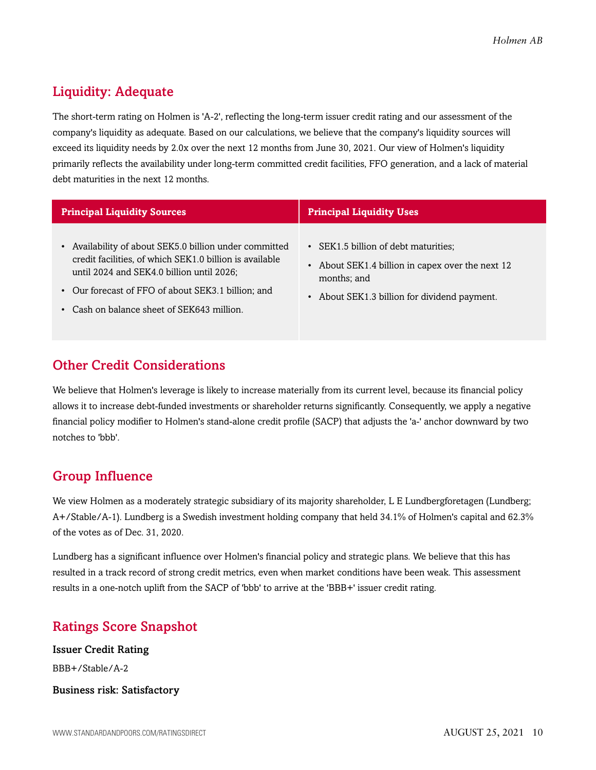## <span id="page-9-0"></span>Liquidity: Adequate

The short-term rating on Holmen is 'A-2', reflecting the long-term issuer credit rating and our assessment of the company's liquidity as adequate. Based on our calculations, we believe that the company's liquidity sources will exceed its liquidity needs by 2.0x over the next 12 months from June 30, 2021. Our view of Holmen's liquidity primarily reflects the availability under long-term committed credit facilities, FFO generation, and a lack of material debt maturities in the next 12 months.

| <b>Principal Liquidity Sources</b>                                                                                                                                                                                                                                 | <b>Principal Liquidity Uses</b>                                                                                                                         |  |  |
|--------------------------------------------------------------------------------------------------------------------------------------------------------------------------------------------------------------------------------------------------------------------|---------------------------------------------------------------------------------------------------------------------------------------------------------|--|--|
| • Availability of about SEK5.0 billion under committed<br>credit facilities, of which SEK1.0 billion is available<br>until 2024 and SEK4.0 billion until 2026;<br>• Our forecast of FFO of about SEK3.1 billion; and<br>• Cash on balance sheet of SEK643 million. | • SEK1.5 billion of debt maturities;<br>• About SEK1.4 billion in capex over the next 12<br>months; and<br>• About SEK1.3 billion for dividend payment. |  |  |

## <span id="page-9-1"></span>Other Credit Considerations

We believe that Holmen's leverage is likely to increase materially from its current level, because its financial policy allows it to increase debt-funded investments or shareholder returns significantly. Consequently, we apply a negative financial policy modifier to Holmen's stand-alone credit profile (SACP) that adjusts the 'a-' anchor downward by two notches to 'bbb'.

## <span id="page-9-2"></span>Group Influence

We view Holmen as a moderately strategic subsidiary of its majority shareholder, L E Lundbergforetagen (Lundberg; A+/Stable/A-1). Lundberg is a Swedish investment holding company that held 34.1% of Holmen's capital and 62.3% of the votes as of Dec. 31, 2020.

Lundberg has a significant influence over Holmen's financial policy and strategic plans. We believe that this has resulted in a track record of strong credit metrics, even when market conditions have been weak. This assessment results in a one-notch uplift from the SACP of 'bbb' to arrive at the 'BBB+' issuer credit rating.

## <span id="page-9-3"></span>Ratings Score Snapshot

Issuer Credit Rating BBB+/Stable/A-2 Business risk: Satisfactory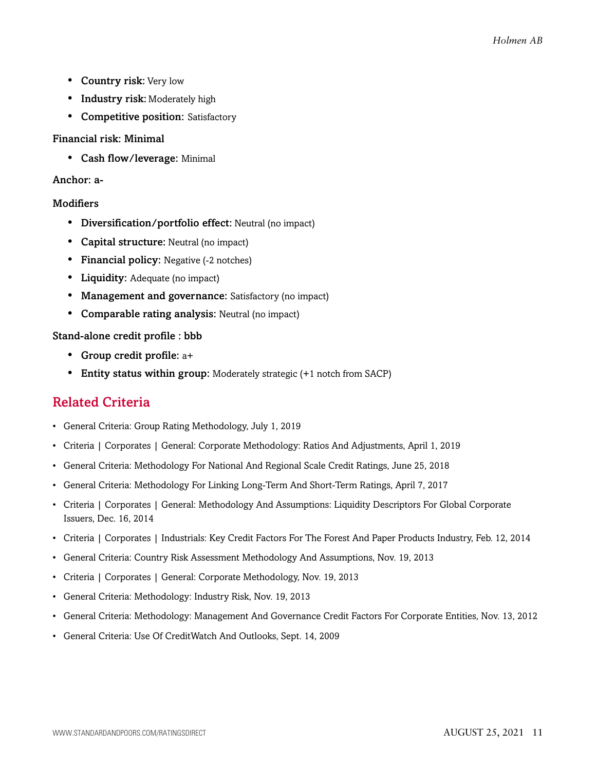- Country risk: Very low
- Industry risk: Moderately high
- Competitive position: Satisfactory

#### Financial risk: Minimal

• Cash flow/leverage: Minimal

#### Anchor: a-

#### **Modifiers**

- Diversification/portfolio effect: Neutral (no impact)
- Capital structure: Neutral (no impact)
- Financial policy: Negative (-2 notches)
- Liquidity: Adequate (no impact)
- Management and governance: Satisfactory (no impact)
- Comparable rating analysis: Neutral (no impact)

#### Stand-alone credit profile : bbb

- Group credit profile: a+
- <span id="page-10-0"></span>• Entity status within group: Moderately strategic (+1 notch from SACP)

## Related Criteria

- General Criteria: Group Rating Methodology, July 1, 2019
- Criteria | Corporates | General: Corporate Methodology: Ratios And Adjustments, April 1, 2019
- General Criteria: Methodology For National And Regional Scale Credit Ratings, June 25, 2018
- General Criteria: Methodology For Linking Long-Term And Short-Term Ratings, April 7, 2017
- Criteria | Corporates | General: Methodology And Assumptions: Liquidity Descriptors For Global Corporate Issuers, Dec. 16, 2014
- Criteria | Corporates | Industrials: Key Credit Factors For The Forest And Paper Products Industry, Feb. 12, 2014
- General Criteria: Country Risk Assessment Methodology And Assumptions, Nov. 19, 2013
- Criteria | Corporates | General: Corporate Methodology, Nov. 19, 2013
- General Criteria: Methodology: Industry Risk, Nov. 19, 2013
- General Criteria: Methodology: Management And Governance Credit Factors For Corporate Entities, Nov. 13, 2012
- General Criteria: Use Of CreditWatch And Outlooks, Sept. 14, 2009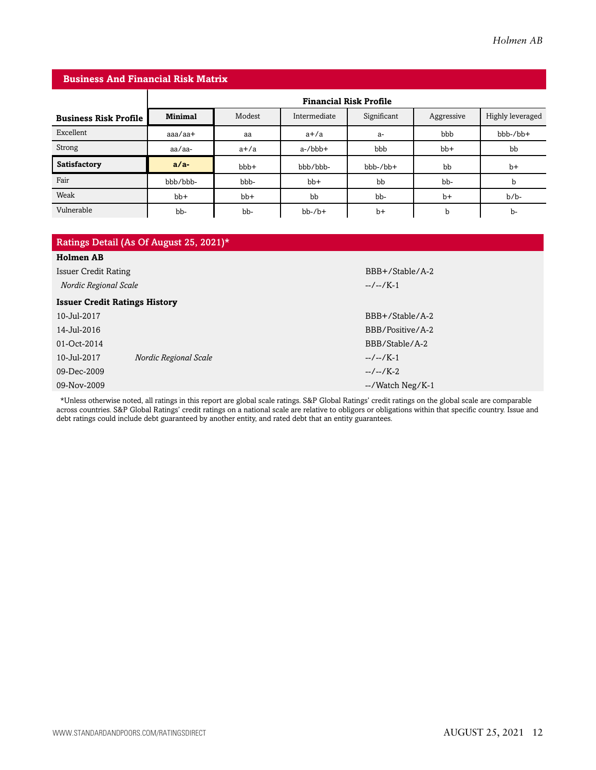| <b>Business And Financial Risk Matrix</b> |                               |         |              |             |            |                  |
|-------------------------------------------|-------------------------------|---------|--------------|-------------|------------|------------------|
|                                           | <b>Financial Risk Profile</b> |         |              |             |            |                  |
| <b>Business Risk Profile</b>              | <b>Minimal</b>                | Modest  | Intermediate | Significant | Aggressive | Highly leveraged |
| Excellent                                 | $a$ aa $/a$ a $+$             | aa      | $a+/a$       | a-          | bbb        | $bbb-/bb+$       |
| Strong                                    | aa/aa-                        | $a+/a$  | $a$ -/bbb+   | bbb         | $bb+$      | bb               |
| Satisfactory                              | $a/a-$                        | $bbb +$ | bbb/bbb-     | $bbb-/bb+$  | bb         | $b+$             |
| Fair                                      | bbb/bbb-                      | bbb-    | $bb+$        | bb          | bb-        | b                |
| Weak                                      | $bb+$                         | $bb+$   | bb           | bb-         | $b+$       | $b/b$ -          |
| Vulnerable                                | bb-                           | bb-     | $bb-7b+$     | $b+$        | b          | b-               |

| Ratings Detail (As Of August 25, 2021)* |                       |                  |  |  |  |  |
|-----------------------------------------|-----------------------|------------------|--|--|--|--|
| <b>Holmen AB</b>                        |                       |                  |  |  |  |  |
| <b>Issuer Credit Rating</b>             |                       | BBB+/Stable/A-2  |  |  |  |  |
| Nordic Regional Scale                   |                       | $-/-/K-1$        |  |  |  |  |
| <b>Issuer Credit Ratings History</b>    |                       |                  |  |  |  |  |
| 10-Jul-2017                             |                       | BBB+/Stable/A-2  |  |  |  |  |
| 14-Jul-2016                             |                       | BBB/Positive/A-2 |  |  |  |  |
| $01 - Oct-2014$                         |                       | BBB/Stable/A-2   |  |  |  |  |
| 10-Jul-2017                             | Nordic Regional Scale | $-/-/K-1$        |  |  |  |  |
| 09-Dec-2009                             |                       | $-/-/K-2$        |  |  |  |  |
| 09-Nov-2009                             |                       | --/Watch Neg/K-1 |  |  |  |  |

\*Unless otherwise noted, all ratings in this report are global scale ratings. S&P Global Ratings' credit ratings on the global scale are comparable across countries. S&P Global Ratings' credit ratings on a national scale are relative to obligors or obligations within that specific country. Issue and debt ratings could include debt guaranteed by another entity, and rated debt that an entity guarantees.